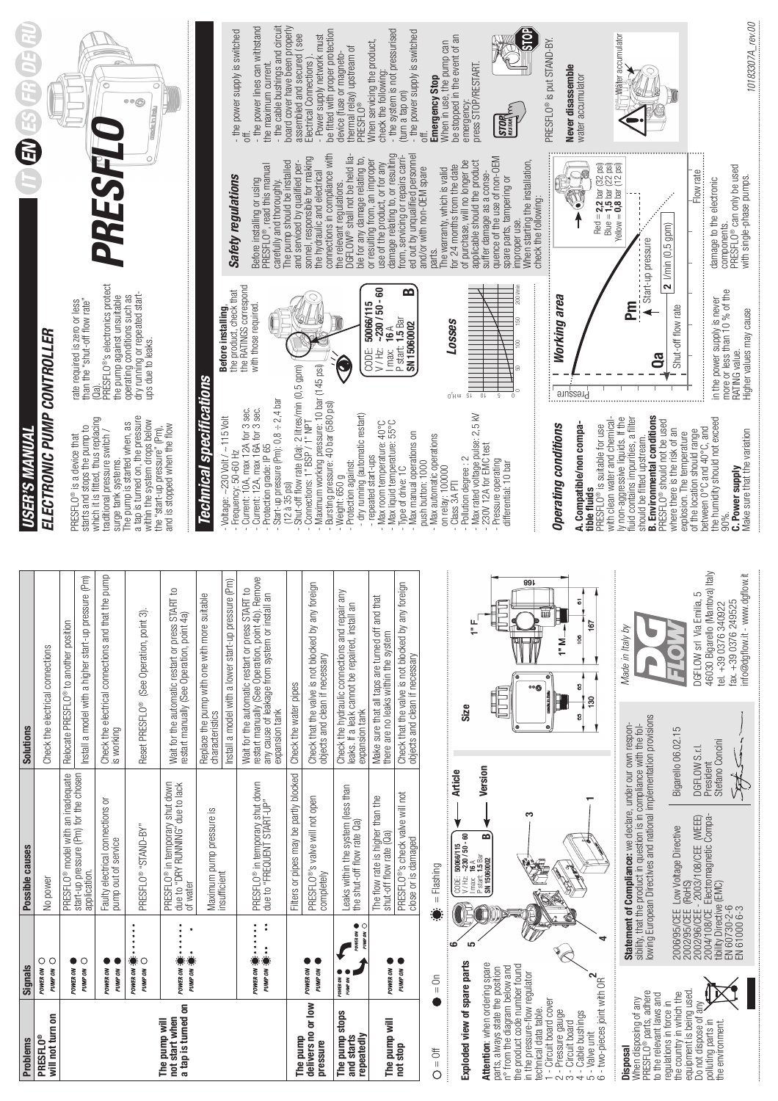| PRESFLO <sup>®</sup><br>Problems                                                                                                     | POWER ON<br><b>Signals</b>                                                  | Possible causes                                                                                                                                                                                          | Solutions                                                                                                                                                                         | <b>USER'S MANUAL</b>                                                                                                                          |                                                                                     |                                                                                                                       |
|--------------------------------------------------------------------------------------------------------------------------------------|-----------------------------------------------------------------------------|----------------------------------------------------------------------------------------------------------------------------------------------------------------------------------------------------------|-----------------------------------------------------------------------------------------------------------------------------------------------------------------------------------|-----------------------------------------------------------------------------------------------------------------------------------------------|-------------------------------------------------------------------------------------|-----------------------------------------------------------------------------------------------------------------------|
| will not turn on                                                                                                                     | $\circ$<br>PUMP ON                                                          | No power                                                                                                                                                                                                 | Check the electrical connections                                                                                                                                                  | ELECTRONIC PUMP CONTROLLER                                                                                                                    |                                                                                     |                                                                                                                       |
|                                                                                                                                      | POWER ON                                                                    | PRESFLO <sup>®</sup> model with an inadequate                                                                                                                                                            | Relocate PRESFLO® to another position                                                                                                                                             |                                                                                                                                               |                                                                                     |                                                                                                                       |
|                                                                                                                                      | $\bullet$<br>O<br>PUMP ON                                                   | start-up pressure (Pm) for the chosen<br>application                                                                                                                                                     | Install a model with a higher start-up pressure (Pm)                                                                                                                              | starts and stops the pump to<br>PRESFLO <sup>®</sup> is a device that                                                                         | than the "shut-off flow rate"<br>rate required is zero or less                      |                                                                                                                       |
|                                                                                                                                      | POWER ON<br>PUMP <sub>ON</sub>                                              | Faulty electrical connections or<br>pump out of service                                                                                                                                                  | the pump<br>Check the electrical connections and that t<br>is working                                                                                                             | which it is fitted, thus replacing<br>traditional pressure switch /<br>surge tank systems.                                                    | <b>PRESFLO®'s electronics protect</b><br>the pump against unsuitable<br>(Qa)        | PRESF                                                                                                                 |
|                                                                                                                                      | <br>POWER ON<br>C<br>PUMP ON                                                | PRESFLO <sup>®</sup> "STAND-BY"                                                                                                                                                                          | Reset PRESFLO <sup>®</sup> (See Operation, point 3)                                                                                                                               | a tap is turned on, the pressure<br>within the system drops below<br>The pump is started when, as                                             | dry running or repeated start-<br>ups due to leaks.<br>operating conditions such as |                                                                                                                       |
| a tap is turned on<br>not start when<br>The pump will                                                                                | $\bullet$<br>$\bullet$<br>٠<br>POWER ON $\ddot{\bullet}$ :<br>· Signal Mund | PRESFLO® in temporary shut down<br>due to "DRY RUNNING" due to lack<br>of water                                                                                                                          | Wait for the automatic restart or press START to<br>restart manually (See Operation, point 4a)                                                                                    | and is stopped when the flow<br>the "start-up pressure" (Pm),                                                                                 |                                                                                     |                                                                                                                       |
|                                                                                                                                      |                                                                             | Maximum pump pressure is                                                                                                                                                                                 | Replace the pump with one with more suitable<br>characteristics                                                                                                                   | Technical specifications                                                                                                                      |                                                                                     |                                                                                                                       |
|                                                                                                                                      |                                                                             | insufficient                                                                                                                                                                                             | Install a model with a lower start-up pressure (Pm)                                                                                                                               | Voltage: ~230 Volt / ~115 Volt<br>Frequency: 50-60 Hz                                                                                         | the product, check that<br>Before installing,                                       | Safety regulations                                                                                                    |
|                                                                                                                                      | å<br>$\ddot{\cdot}$<br>POWER ON <b>ON</b><br>$\ddot{\cdot}$<br>PUMP ON 3    | PRESFLO® in temporary shut down<br>due to "FREQUENT START-UP"                                                                                                                                            | Remove<br>Wait for the automatic restart or press START to<br>restart manually (See Operation, point 4b). Rem<br>any cause of leakage from system or install an<br>expansion tank | Start-up pressure (Pm): $0,8 \div 2,4$ bar<br>Current: 10A, max 12A for 3 sec.<br>Current: 12A, max 16A for 3 sec.<br>Protection grade: IP 65 | the RATINGS correspond<br>with those required                                       | The pump should be installed<br>Before installing or using<br>PRESFLO®, read this manual<br>carefully and thoroughly. |
| The pump                                                                                                                             |                                                                             | Filters or pipes may be partly blocked                                                                                                                                                                   | Check the water pipes                                                                                                                                                             | Shut-off flow rate (Qa): 2 litres/min (0,5 gpm)<br>$(12a35$ psi)                                                                              |                                                                                     | and serviced by qualified per-                                                                                        |
| delivers no or low<br>pressure                                                                                                       | $\bullet$<br>POWER ON<br>PUMP <sub>ON</sub>                                 | PRESFLO <sup>®</sup> 's valve will not open<br>completely                                                                                                                                                | foreign<br>Check that the valve is not blocked by any<br>objects and clean if necessary                                                                                           | Maximum working pressure: 10 bar (145 psi)<br>Bursting pressure: 40 bar (580 psi)<br>Connections: 1" BSP / 1" NPT                             |                                                                                     | connections in compliance with<br>sonnel, responsible for making<br>the hydraulic and electrical                      |
| The pump stops<br>repeatedly<br>and starts                                                                                           | POWER ON<br>C<br>PUMP ON<br>POWER ON<br>PUMP ON                             | Leaks within the system (less than<br>the shut-off flow rate Qa)                                                                                                                                         | Check the hydraulic connections and repair any<br>leaks. If a leak cannot be repaired, install an<br>expansion tank                                                               | - dry running (automatic restart)<br>Protection against:<br>Weight: 650 g                                                                     | Ç                                                                                   | DGFLOW® shall not be held lia-<br>ble for any damage relating to,<br>the relevant regulations.                        |
| The pump will                                                                                                                        | POWER ON                                                                    | The flow rate is higher than the<br>shut-off flow rate (Qa)                                                                                                                                              | that<br>Make sure that all taps are turned off and<br>there are no leaks within the system                                                                                        | - Max room temperature: 40°C<br>- Max liquid temperature: 55°C<br>repeated start-ups                                                          | $50066/115$<br>$-230/50 - 60$<br>CODE:<br>V/Hz:                                     | damage relating to, or resulting<br>or resulting from, an improper<br>use of the product, or for any                  |
| not stop                                                                                                                             | PUMP ON                                                                     | PRESFLO <sup>®</sup> 's check valve will not<br>close or is damaged                                                                                                                                      | foreign<br>Check that the valve is not blocked by any<br>objects and clean if necessary                                                                                           | - Max manual operations on<br>Type of drive: 1C                                                                                               | $\mathbf{a}$<br>$l$ max: $16A$<br>P start: $1.5$ Bar<br>SN 15060002                 | ed out by unqualified personnel<br>from, servicing or repairs carri-                                                  |
| $O = 0$                                                                                                                              | $\frac{5}{1}$                                                               | $=$ Flashing                                                                                                                                                                                             |                                                                                                                                                                                   | Max automatic operations<br>push button: 1000<br>on relay: 100000                                                                             |                                                                                     | The warranty, which is valid<br>and/or with non-OEM spare<br>parts.                                                   |
| Exploded view of spare parts                                                                                                         | ؘڡ<br>S                                                                     | <b>Article</b><br>$\begin{bmatrix} \text{CODE: } & 50066/115 \\ \text{V/Hz: } & -230/50 - 60 \\ \text{Imac: } & 16 \text{ A} \end{bmatrix}$                                                              | Size                                                                                                                                                                              | Pollution degree : 2<br>Class 3A PTI                                                                                                          | LOSSES<br>$0^5H$ W<br>G١                                                            | for 24 months from the date<br>of purchase, will no longer be                                                         |
| Attention: when ordering spare                                                                                                       |                                                                             | Version<br>≃<br>P start: 1.5 Bar<br>SN 15060002                                                                                                                                                          |                                                                                                                                                                                   | Max rated voltage pulse: 2,5 kV<br>230V 12A for EMC test                                                                                      | $\overline{0}$                                                                      | applicable should the product<br>suffer damage as a conse-                                                            |
| the product code number found<br>n° from the diagram below and<br>parts, always state the position<br>in the pressure-flow regulator |                                                                             |                                                                                                                                                                                                          |                                                                                                                                                                                   | Pressure operating<br>differential: 10 bar                                                                                                    | 200 l/n<br>g                                                                        | quence of the use of non-OEM<br>When starting the installation,<br>spare parts, tampering or<br>improper use.         |
| - Circuit board cover<br>technical data table.                                                                                       |                                                                             | S                                                                                                                                                                                                        | 89 L<br>₩<br>$\overline{\bullet}$<br>∘∘⊜<br><b>DROW-IT-LEW</b><br>⊕                                                                                                               |                                                                                                                                               |                                                                                     | check the following:                                                                                                  |
| - Pressure gauge<br>2 - Pressure gaug<br>3 - Circuit board                                                                           |                                                                             |                                                                                                                                                                                                          | 67<br>İ<br>106<br>1" M.<br>85<br>85                                                                                                                                               | A. Compatible/non compa-<br>Operating conditions                                                                                              | Working area<br>busseud                                                             | G<br>Ų                                                                                                                |
| - two-pieces joint with OR<br>4 - Cable bushings<br>5 - Valve unit<br>6 - two-pieces joint v                                         | 4                                                                           |                                                                                                                                                                                                          | 167<br>130                                                                                                                                                                        | with clean water and chemical-<br>PRESFLO <sup>®</sup> is suitable for use<br>tible fluids                                                    |                                                                                     | Red = 2,2 bar (32 psi)<br>Blue = 1,5 bar (22 psi)<br>Yellow = 0,8 bar (12 psi)                                        |
| When disposing of any<br>PRESFLO® parts, adhere<br>to the relevant laws and<br><b>Disposal</b>                                       |                                                                             | sibility, that the product in question is in compliance with the fol-<br>lowing European Directives and national implementation provisions<br>Statement of Compliance: we declare, under our own respon- | Made in Italy by                                                                                                                                                                  | <b>B.</b> Environmental conditions<br>ly non-aggressive liquids. If the<br>fluid contains impurities, a filter<br>should be fitted upstream   | ᄐ<br>Ga                                                                             | Start-up pressure                                                                                                     |
| equipment is being used.<br>the country in which the<br>regulations in force in                                                      |                                                                             |                                                                                                                                                                                                          | Bigarello 06.02.15                                                                                                                                                                | PRESFLO <sup>®</sup> should not be used<br>where there is the risk of an<br>explosion. The temperature                                        | Shut-off flow rate                                                                  | $2$ I/min (0,5 gpm)                                                                                                   |
| Do not dispose of any<br>polluting parts in                                                                                          |                                                                             | DGFLOW S.r.I.<br>President                                                                                                                                                                               | 46030 Bigarello (Mantova) Italy<br>DGFLOW srl Via Emilia, 5                                                                                                                       | between 0°C and 40°C, and<br>the humidity should not exceed<br>of the location should range                                                   |                                                                                     | Flow rate                                                                                                             |
| the environment.                                                                                                                     |                                                                             | 2006/95/CEE Low Voltage Directive<br>2002/95/CEE (RoHS)<br>2002/96/CEE - 2003/108/CEE (WEEE)<br>12004/108/CE Electromagnetic Compa-<br>EN 61730-2-6<br>EN 61000 6-3                                      | fax. +39 0376 249525<br>Š,<br>tel. +39 0376 34092<br>Stefano Concini                                                                                                              | 90%                                                                                                                                           | more or less than 10 % of the<br>in the power supply is never<br>RATING value.      | PRESFLO <sup>®</sup> can only be used<br>damage to the electronic<br>components.                                      |
|                                                                                                                                      |                                                                             | SA                                                                                                                                                                                                       | info@dgflow.it - www.dgflow.it                                                                                                                                                    | C. Power supply<br>Make sure that the variation                                                                                               | Higher values may cause                                                             | with single-phase pumps.                                                                                              |

10183307A\_rev.00

 $10183307A\_rev.00$